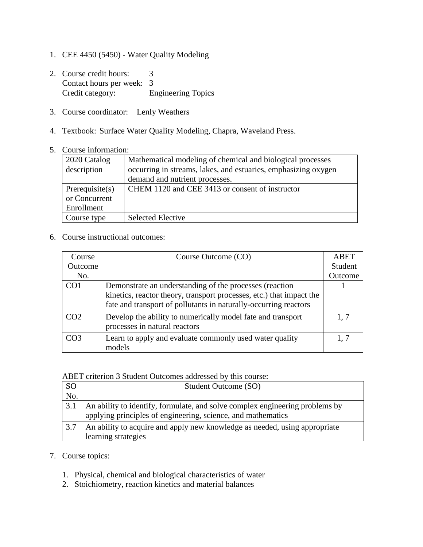- 1. CEE 4450 (5450) Water Quality Modeling
- 2. Course credit hours: 3 Contact hours per week: 3 Credit category: Engineering Topics
- 3. Course coordinator: Lenly Weathers
- 4. Textbook: Surface Water Quality Modeling, Chapra, Waveland Press.
- 5. Course information:

| 2020 Catalog       | Mathematical modeling of chemical and biological processes     |
|--------------------|----------------------------------------------------------------|
| description        | occurring in streams, lakes, and estuaries, emphasizing oxygen |
|                    | demand and nutrient processes.                                 |
| Prerequisite $(s)$ | CHEM 1120 and CEE 3413 or consent of instructor                |
| or Concurrent      |                                                                |
| Enrollment         |                                                                |
| Course type        | <b>Selected Elective</b>                                       |

6. Course instructional outcomes:

| Course          | Course Outcome (CO)                                                  | <b>ABET</b> |
|-----------------|----------------------------------------------------------------------|-------------|
| Outcome         |                                                                      | Student     |
| No.             |                                                                      | Outcome     |
| CO <sub>1</sub> | Demonstrate an understanding of the processes (reaction              |             |
|                 | kinetics, reactor theory, transport processes, etc.) that impact the |             |
|                 | fate and transport of pollutants in naturally-occurring reactors     |             |
| CO <sub>2</sub> | Develop the ability to numerically model fate and transport          | 1, 7        |
|                 | processes in natural reactors                                        |             |
| CO <sub>3</sub> | Learn to apply and evaluate commonly used water quality              | 1.7         |
|                 | models                                                               |             |

ABET criterion 3 Student Outcomes addressed by this course:

| <sub>SO</sub> | Student Outcome (SO)                                                                                                                         |
|---------------|----------------------------------------------------------------------------------------------------------------------------------------------|
| No.           |                                                                                                                                              |
| 3.1           | An ability to identify, formulate, and solve complex engineering problems by<br>applying principles of engineering, science, and mathematics |
| 3.7           | An ability to acquire and apply new knowledge as needed, using appropriate<br>learning strategies                                            |

- 7. Course topics:
	- 1. Physical, chemical and biological characteristics of water
	- 2. Stoichiometry, reaction kinetics and material balances